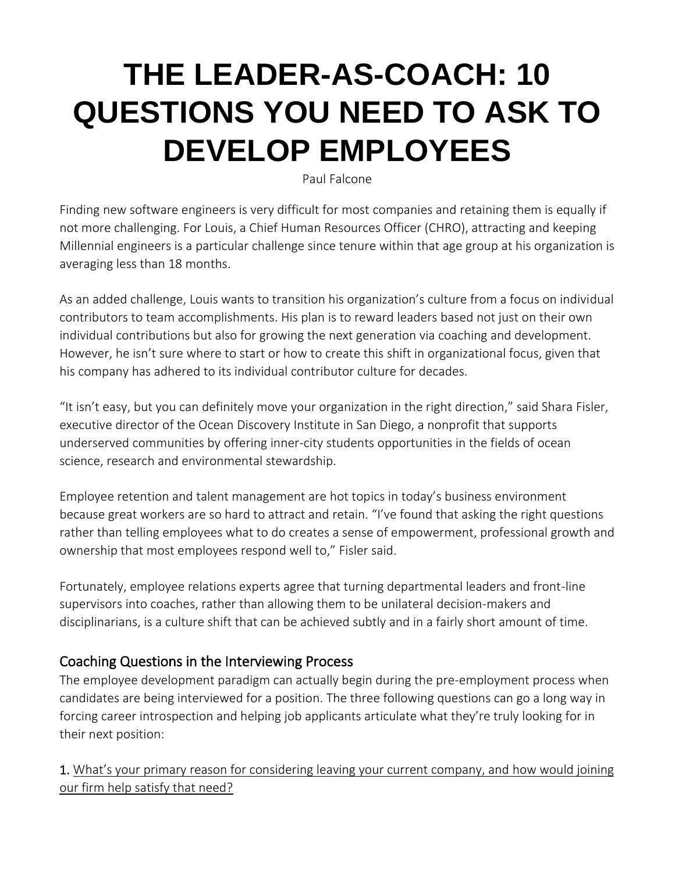# **THE LEADER-AS-COACH: 10 QUESTIONS YOU NEED TO ASK TO DEVELOP EMPLOYEES**

[Paul Falcone](mhtml:file://C:/Users/drousopoulos/AppData/Local/Microsoft/Windows/INetCache/Content.Outlook/D9UX6U9Q/email.mht!https://leadingwithquestions.us3.list-manage.com/track/click?u=4320a50bc672b2862b6f985c0&id=a9a2eaeb32&e=ba8044106f)

Finding new software engineers is very difficult for most companies and retaining them is equally if not more challenging. For Louis, a Chief Human Resources Officer (CHRO), attracting and keeping Millennial engineers is a particular challenge since tenure within that age group at his organization is averaging less than 18 months.

As an added challenge, Louis wants to transition his organization's culture from a focus on individual contributors to team accomplishments. His plan is to reward leaders based not just on their own individual contributions but also for growing the next generation via coaching and development. However, he isn't sure where to start or how to create this shift in organizational focus, given that his company has adhered to its individual contributor culture for decades.

"It isn't easy, but you can definitely move your organization in the right direction," said Shara Fisler, executive director of the Ocean Discovery Institute in San Diego, a nonprofit that supports underserved communities by offering inner-city students opportunities in the fields of ocean science, research and environmental stewardship.

Employee retention and talent management are hot topics in today's business environment because great workers are so hard to attract and retain. "I've found that asking the right questions rather than telling employees what to do creates a sense of empowerment, professional growth and ownership that most employees respond well to," Fisler said.

Fortunately, employee relations experts agree that turning departmental leaders and front-line supervisors into coaches, rather than allowing them to be unilateral decision-makers and disciplinarians, is a culture shift that can be achieved subtly and in a fairly short amount of time.

## Coaching Questions in the Interviewing Process

The employee development paradigm can actually begin during the pre-employment process when candidates are being interviewed for a position. The three following questions can go a long way in forcing career introspection and helping job applicants articulate what they're truly looking for in their next position:

1. What's your primary reason for considering leaving your current company, and how would joining our firm help satisfy that need?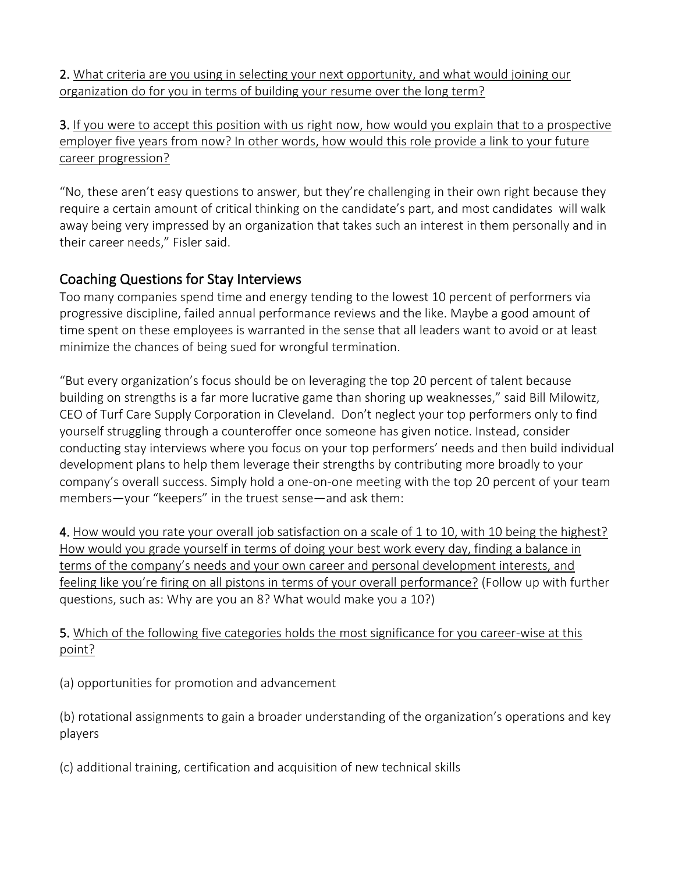2. What criteria are you using in selecting your next opportunity, and what would joining our organization do for you in terms of building your resume over the long term?

3. If you were to accept this position with us right now, how would you explain that to a prospective employer five years from now? In other words, how would this role provide a link to your future career progression?

"No, these aren't easy questions to answer, but they're challenging in their own right because they require a certain amount of critical thinking on the candidate's part, and most candidates will walk away being very impressed by an organization that takes such an interest in them personally and in their career needs," Fisler said.

### Coaching Questions for Stay Interviews

Too many companies spend time and energy tending to the lowest 10 percent of performers via progressive discipline, failed annual performance reviews and the like. Maybe a good amount of time spent on these employees is warranted in the sense that all leaders want to avoid or at least minimize the chances of being sued for wrongful termination.

"But every organization's focus should be on leveraging the top 20 percent of talent because building on strengths is a far more lucrative game than shoring up weaknesses," said Bill Milowitz, CEO of Turf Care Supply Corporation in Cleveland. Don't neglect your top performers only to find yourself struggling through a counteroffer once someone has given notice. Instead, consider conducting stay interviews where you focus on your top performers' needs and then build individual development plans to help them leverage their strengths by contributing more broadly to your company's overall success. Simply hold a one-on-one meeting with the top 20 percent of your team members—your "keepers" in the truest sense—and ask them:

4. How would you rate your overall job satisfaction on a scale of 1 to 10, with 10 being the highest? How would you grade yourself in terms of doing your best work every day, finding a balance in terms of the company's needs and your own career and personal development interests, and feeling like you're firing on all pistons in terms of your overall performance? (Follow up with further questions, such as: Why are you an 8? What would make you a 10?)

5. Which of the following five categories holds the most significance for you career-wise at this point?

(a) opportunities for promotion and advancement

(b) rotational assignments to gain a broader understanding of the organization's operations and key players

(c) additional training, certification and acquisition of new technical skills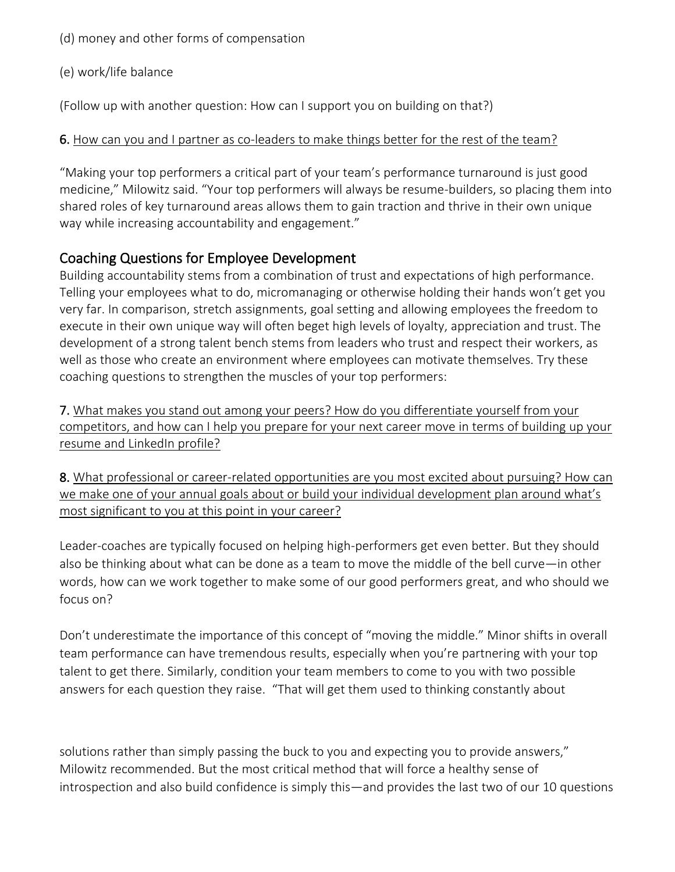(d) money and other forms of compensation

(e) work/life balance

(Follow up with another question: How can I support you on building on that?)

6. How can you and I partner as co-leaders to make things better for the rest of the team?

"Making your top performers a critical part of your team's performance turnaround is just good medicine," Milowitz said. "Your top performers will always be resume-builders, so placing them into shared roles of key turnaround areas allows them to gain traction and thrive in their own unique way while increasing accountability and engagement."

## Coaching Questions for Employee Development

Building accountability stems from a combination of trust and expectations of high performance. Telling your employees what to do, micromanaging or otherwise holding their hands won't get you very far. In comparison, stretch assignments, goal setting and allowing employees the freedom to execute in their own unique way will often beget high levels of loyalty, appreciation and trust. The development of a strong talent bench stems from leaders who trust and respect their workers, as well as those who create an environment where employees can motivate themselves. Try these coaching questions to strengthen the muscles of your top performers:

7. What makes you stand out among your peers? How do you differentiate yourself from your competitors, and how can I help you prepare for your next career move in terms of building up your resume and LinkedIn profile?

8. What professional or career-related opportunities are you most excited about pursuing? How can we make one of your annual goals about or build your individual development plan around what's most significant to you at this point in your career?

Leader-coaches are typically focused on helping high-performers get even better. But they should also be thinking about what can be done as a team to move the middle of the bell curve—in other words, how can we work together to make some of our good performers great, and who should we focus on?

Don't underestimate the importance of this concept of "moving the middle." Minor shifts in overall team performance can have tremendous results, especially when you're partnering with your top talent to get there. Similarly, condition your team members to come to you with two possible answers for each question they raise. "That will get them used to thinking constantly about

solutions rather than simply passing the buck to you and expecting you to provide answers," Milowitz recommended. But the most critical method that will force a healthy sense of introspection and also build confidence is simply this—and provides the last two of our 10 questions